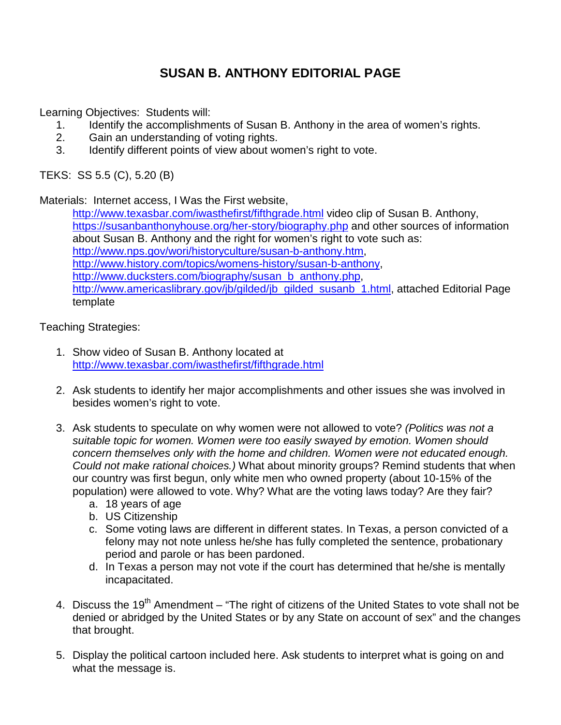## **SUSAN B. ANTHONY EDITORIAL PAGE**

Learning Objectives: Students will:

- 1. Identify the accomplishments of Susan B. Anthony in the area of women's rights.<br>2. Gain an understanding of voting rights.
- Gain an understanding of voting rights.
- 3. Identify different points of view about women's right to vote.

TEKS: SS 5.5 (C), 5.20 (B)

Materials: Internet access, I Was the First website,

<http://www.texasbar.com/iwasthefirst/fifthgrade.html> video clip of Susan B. Anthony, <https://susanbanthonyhouse.org/her-story/biography.php> and other sources of information about Susan B. Anthony and the right for women's right to vote such as: [http://www.nps.gov/wori/historyculture/susan-b-anthony.htm,](http://www.nps.gov/wori/historyculture/susan-b-anthony.htm) [http://www.history.com/topics/womens-history/susan-b-anthony,](http://www.history.com/topics/womens-history/susan-b-anthony) [http://www.ducksters.com/biography/susan\\_b\\_anthony.php,](http://www.ducksters.com/biography/susan_b_anthony.php) [http://www.americaslibrary.gov/jb/gilded/jb\\_gilded\\_susanb\\_1.html,](http://www.americaslibrary.gov/jb/gilded/jb_gilded_susanb_1.html) attached Editorial Page template

Teaching Strategies:

- 1. Show video of Susan B. Anthony located at <http://www.texasbar.com/iwasthefirst/fifthgrade.html>
- 2. Ask students to identify her major accomplishments and other issues she was involved in besides women's right to vote.
- 3. Ask students to speculate on why women were not allowed to vote? *(Politics was not a suitable topic for women. Women were too easily swayed by emotion. Women should concern themselves only with the home and children. Women were not educated enough. Could not make rational choices.)* What about minority groups? Remind students that when our country was first begun, only white men who owned property (about 10-15% of the population) were allowed to vote. Why? What are the voting laws today? Are they fair?
	- a. 18 years of age
	- b. US Citizenship
	- c. Some voting laws are different in different states. In Texas, a person convicted of a felony may not note unless he/she has fully completed the sentence, probationary period and parole or has been pardoned.
	- d. In Texas a person may not vote if the court has determined that he/she is mentally incapacitated.
- 4. Discuss the 19<sup>th</sup> Amendment "The right of citizens of the United States to vote shall not be denied or abridged by the United States or by any State on account of sex" and the changes that brought.
- 5. Display the political cartoon included here. Ask students to interpret what is going on and what the message is.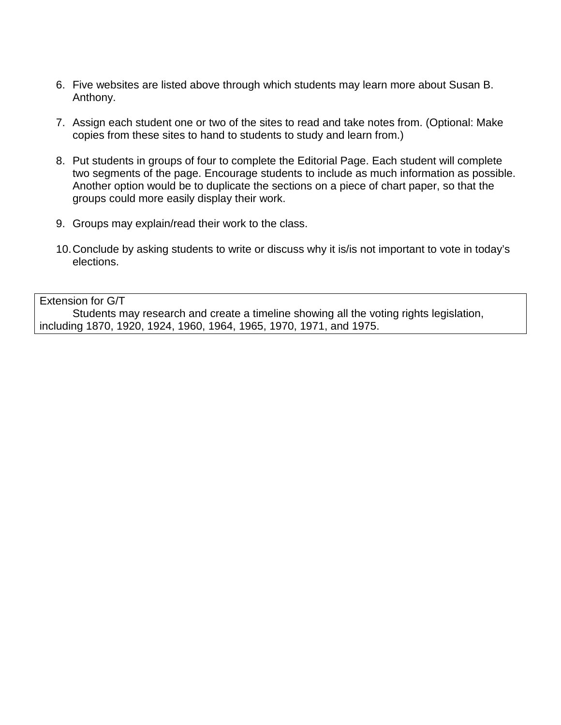- 6. Five websites are listed above through which students may learn more about Susan B. Anthony.
- 7. Assign each student one or two of the sites to read and take notes from. (Optional: Make copies from these sites to hand to students to study and learn from.)
- 8. Put students in groups of four to complete the Editorial Page. Each student will complete two segments of the page. Encourage students to include as much information as possible. Another option would be to duplicate the sections on a piece of chart paper, so that the groups could more easily display their work.
- 9. Groups may explain/read their work to the class.
- 10.Conclude by asking students to write or discuss why it is/is not important to vote in today's elections.

Extension for G/T Students may research and create a timeline showing all the voting rights legislation, including 1870, 1920, 1924, 1960, 1964, 1965, 1970, 1971, and 1975.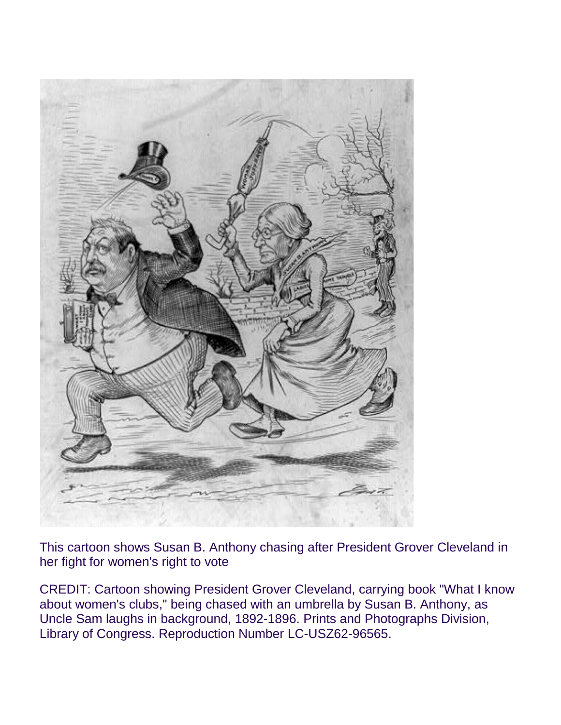

This cartoon shows Susan B. Anthony chasing after President Grover Cleveland in her fight for women's right to vote

CREDIT: Cartoon showing President Grover Cleveland, carrying book "What I know about women's clubs," being chased with an umbrella by Susan B. Anthony, as Uncle Sam laughs in background, 1892-1896. Prints and Photographs Division, Library of Congress. Reproduction Number LC-USZ62-96565.